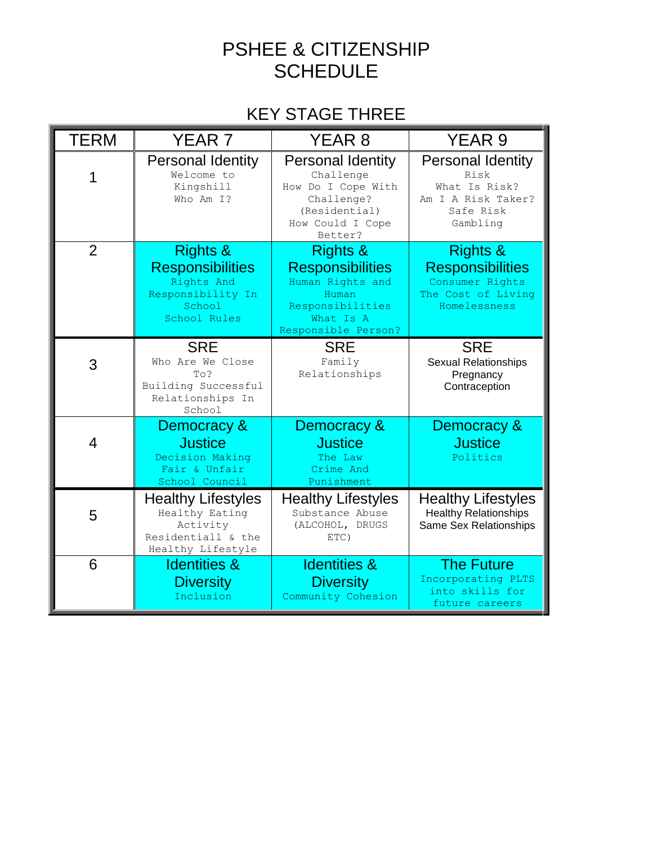## PSHEE & CITIZENSHIP **SCHEDULE**

## KEY STAGE THREE

| <b>TERM</b>    | YEAR <sub>7</sub>                                                                                           | YEAR <sub>8</sub>                                                                                                                   | YEAR <sub>9</sub>                                                                                       |
|----------------|-------------------------------------------------------------------------------------------------------------|-------------------------------------------------------------------------------------------------------------------------------------|---------------------------------------------------------------------------------------------------------|
|                | <b>Personal Identity</b><br>Welcome to<br>Kingshill<br>Who Am I?                                            | <b>Personal Identity</b><br>Challenge<br>How Do I Cope With<br>Challenge?<br>(Residential)<br>How Could I Cope<br>Better?           | <b>Personal Identity</b><br>Risk<br>What Is Risk?<br>Am I A Risk Taker?<br>Safe Risk<br>Gambling        |
| $\overline{2}$ | <b>Rights &amp;</b><br><b>Responsibilities</b><br>Rights And<br>Responsibility In<br>School<br>School Rules | <b>Rights &amp;</b><br><b>Responsibilities</b><br>Human Rights and<br>Human<br>Responsibilities<br>What Is A<br>Responsible Person? | <b>Rights &amp;</b><br><b>Responsibilities</b><br>Consumer Rights<br>The Cost of Living<br>Homelessness |
| 3              | <b>SRE</b><br>Who Are We Close<br>To?<br>Building Successful<br>Relationships In<br>School                  | <b>SRE</b><br>Family<br>Relationships                                                                                               | <b>SRE</b><br><b>Sexual Relationships</b><br>Pregnancy<br>Contraception                                 |
| 4              | Democracy &<br><b>Justice</b><br>Decision Making<br>Fair & Unfair<br>School Council                         | Democracy &<br><b>Justice</b><br>The Law<br>Crime And<br>Punishment                                                                 | Democracy &<br><b>Justice</b><br>Politics                                                               |
| 5              | <b>Healthy Lifestyles</b><br>Healthy Eating<br>Activity<br>Residentiall & the<br>Healthy Lifestyle          | <b>Healthy Lifestyles</b><br>Substance Abuse<br>(ALCOHOL, DRUGS<br>ETC)                                                             | <b>Healthy Lifestyles</b><br><b>Healthy Relationships</b><br>Same Sex Relationships                     |
| 6              | <b>Identities &amp;</b><br><b>Diversity</b><br>Inclusion                                                    | <b>Identities &amp;</b><br><b>Diversity</b><br>Community Cohesion                                                                   | <b>The Future</b><br>Incorporating PLTS<br>into skills for<br>future careers                            |